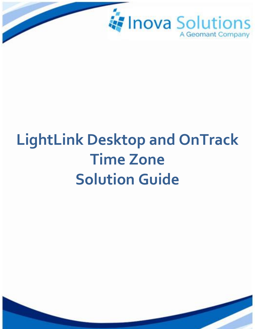

# **LightLink Desktop and OnTrack Time Zone Solution Guide**

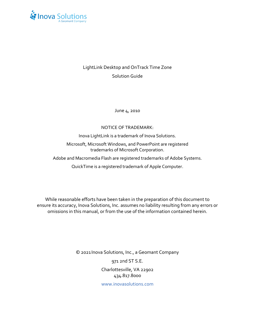

#### LightLink Desktop and OnTrack Time Zone Solution Guide

June  $4, 2010$ 

#### NOTICE OF TRADEMARK:

Inova LightLink is a trademark of Inova Solutions.

Microsoft, Microsoft Windows, and PowerPoint are registered trademarks of Microsoft Corporation.

Adobe and Macromedia Flash are registered trademarks of Adobe Systems.

QuickTime is a registered trademark of Apple Computer.

While reasonable efforts have been taken in the preparation of this document to ensure its accuracy, Inova Solutions, Inc. assumes no liability resulting from any errors or omissions in this manual, or from the use of the information contained herein.

> © 2021 Inova Solutions, Inc., a Geomant Company 971 2nd ST S.E. Charlottesville, VA 22902 434.817.8000 [www.inovasolutions.com](http://www.inovasolutions.com/)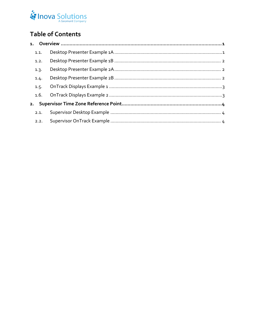## Inova Solutions

### **Table of Contents**

| 1.1. |  |
|------|--|
| 1.2. |  |
| 1.3. |  |
| 1.4. |  |
| 1.5. |  |
|      |  |
|      |  |
| 2.1. |  |
| 2.2. |  |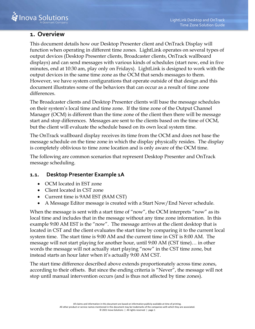

#### <span id="page-3-0"></span>**1. Overview**

This document details how our Desktop Presenter client and OnTrack Display will function when operating in different time zones. LightLink operates on several types of output devices (Desktop Presenter clients, Broadcaster clients, OnTrack wallboard displays) and can send messages with various kinds of schedules (start now, end in five minutes, end at 10:30 am, play only on Fridays). LightLink is designed to work with the output devices in the same time zone as the OCM that sends messages to them. However, we have system configurations that operate outside of that design and this document illustrates some of the behaviors that can occur as a result of time zone differences.

The Broadcaster clients and Desktop Presenter clients will base the message schedules on their system's local time and time zone. If the time zone of the Output Channel Manager (OCM) is different than the time zone of the client then there will be message start and stop differences. Messages are sent to the clients based on the time of OCM, but the client will evaluate the schedule based on its own local system time.

The OnTrack wallboard display receives its time from the OCM and does not base the message schedule on the time zone in which the display physically resides. The display is completely oblivious to time zone location and is only aware of the OCM time.

The following are common scenarios that represent Desktop Presenter and OnTrack message scheduling.

#### <span id="page-3-1"></span>**1.1. Desktop Presenter Example 1A**

- OCM located in EST zone
- Client located in CST zone
- Current time is 9AM EST (8AM CST)
- A Message Editor message is created with a Start Now/End Never schedule.

When the message is sent with a start time of "now", the OCM interprets "now" as its local time and includes that in the message without any time zone information. In this example 9:00 AM EST is the "now". The message arrives at the client desktop that is located in CST and the client evaluates the start time by comparing it to the current local system time. The start time is 9:00 AM and the current time in CST is 8:00 AM. The message will not start playing for another hour, until 9:00 AM (CST time)… in other words the message will not actually start playing "now" in the CST time zone, but instead starts an hour later when it's actually 9:00 AM CST.

The start time difference described above extends proportionately across time zones, according to their offsets. But since the ending criteria is "Never", the message will not stop until manual intervention occurs (and is thus not affected by time zones).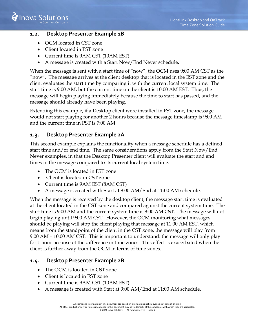#### <span id="page-4-0"></span>**1.2. Desktop Presenter Example 1B**

- OCM located in CST zone
- Client located in EST zone
- Current time is 9AM CST (10AM EST)
- A message is created with a Start Now/End Never schedule.

When the message is sent with a start time of "now", the OCM uses 9:00 AM CST as the "now". The message arrives at the client desktop that is located in the EST zone and the client evaluates the start time by comparing it with the current local system time. The start time is 9:00 AM, but the current time on the client is 10:00 AM EST. Thus, the message will begin playing immediately because the time to start has passed, and the message should already have been playing.

Extending this example, if a Desktop client were installed in PST zone, the message would not start playing for another 2 hours because the message timestamp is 9:00 AM and the current time in PST is 7:00 AM.

#### <span id="page-4-1"></span>**1.3. Desktop Presenter Example 2A**

This second example explains the functionality when a message schedule has a defined start time and/or end time. The same considerations apply from the Start Now/End Never examples, in that the Desktop Presenter client will evaluate the start and end times in the message compared to its current local system time.

- The OCM is located in EST zone
- Client is located in CST zone
- Current time is 9AM EST (8AM CST)
- A message is created with Start at 9:00 AM/End at 11:00 AM schedule.

When the message is received by the desktop client, the message start time is evaluated at the client located in the CST zone and compared against the current system time. The start time is 9:00 AM and the current system time is 8:00 AM CST. The message will not begin playing until 9:00 AM CST. However, the OCM monitoring what messages should be playing will stop the client playing that message at 11:00 AM EST, which means from the standpoint of the client in the CST zone, the message will play from 9:00 AM – 10:00 AM CST. This is important to understand: the message will only play for 1 hour because of the difference in time zones. This effect is exacerbated when the client is farther away from the OCM in terms of time zones.

#### <span id="page-4-2"></span>**1.4. Desktop Presenter Example 2B**

- The OCM is located in CST zone
- Client is located in EST zone
- Current time is 9AM CST (10AM EST)
- A message is created with Start at 9:00 AM/End at 11:00 AM schedule.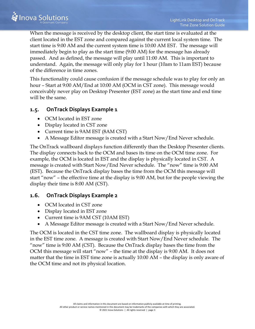When the message is received by the desktop client, the start time is evaluated at the client located in the EST zone and compared against the current local system time. The start time is 9:00 AM and the current system time is 10:00 AM EST. The message will immediately begin to play as the start time (9:00 AM) for the message has already passed. And as defined, the message will play until 11:00 AM. This is important to understand. Again, the message will only play for 1 hour (10am to 11am EST) because of the difference in time zones.

This functionality could cause confusion if the message schedule was to play for only an hour – Start at 9:00 AM/End at 10:00 AM (OCM in CST zone). This message would conceivably never play on Desktop Presenter (EST zone) as the start time and end time will be the same.

#### <span id="page-5-0"></span>**1.5. OnTrack Displays Example 1**

- OCM located in EST zone
- Display located in CST zone
- Current time is 9AM EST (8AM CST)
- A Message Editor message is created with a Start Now/End Never schedule.

The OnTrack wallboard displays function differently than the Desktop Presenter clients. The display connects back to the OCM and bases its time on the OCM time zone. For example, the OCM is located in EST and the display is physically located in CST. A message is created with Start Now/End Never schedule. The "now" time is 9:00 AM (EST). Because the OnTrack display bases the time from the OCM this message will start "now" – the effective time at the display is 9:00 AM, but for the people viewing the display their time is 8:00 AM (CST).

#### <span id="page-5-1"></span>**1.6. OnTrack Displays Example 2**

- OCM located in CST zone
- Display located in EST zone
- Current time is 9AM CST (10AM EST)
- A Message Editor message is created with a Start Now/End Never schedule.

The OCM is located in the CST time zone. The wallboard display is physically located in the EST time zone. A message is created with Start Now/End Never schedule. The "now" time is 9:00 AM (CST). Because the OnTrack display bases the time from the OCM this message will start "now" – the time at the display is 9:00 AM. It does not matter that the time in EST time zone is actually 10:00 AM – the display is only aware of the OCM time and not its physical location.